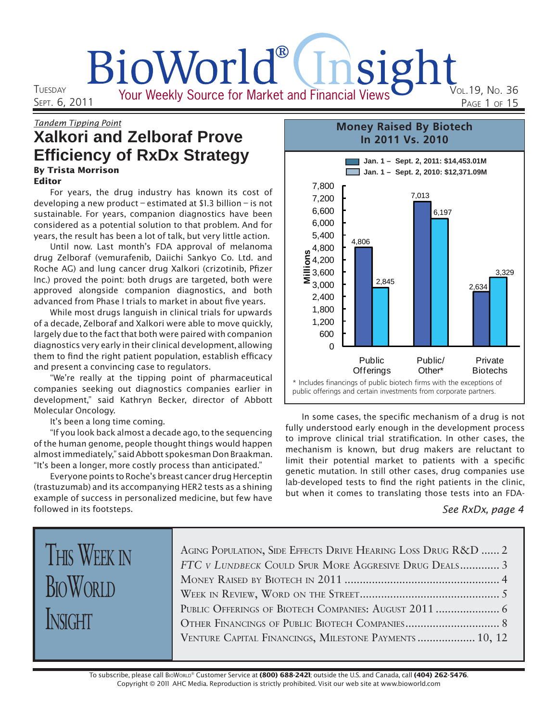# BioWorld®(Insight Your Weekly Source for Market and Financial Views VOL.19, NO. 36

**TUESDAY** SEPT. 6, 2011

# Tandem Tipping Point **Xalkori and Zelboraf Prove Efficiency of RxDx Strategy**

#### By Trista Morrison Editor

For years, the drug industry has known its cost of developing a new product – estimated at \$1.3 billion – is not sustainable. For years, companion diagnostics have been considered as a potential solution to that problem. And for years, the result has been a lot of talk, but very little action.

Until now. Last month's FDA approval of melanoma drug Zelboraf (vemurafenib, Daiichi Sankyo Co. Ltd. and Roche AG) and lung cancer drug Xalkori (crizotinib, Pfizer Inc.) proved the point: both drugs are targeted, both were approved alongside companion diagnostics, and both advanced from Phase I trials to market in about five years.

While most drugs languish in clinical trials for upwards of a decade, Zelboraf and Xalkori were able to move quickly, largely due to the fact that both were paired with companion diagnostics very early in their clinical development, allowing them to find the right patient population, establish efficacy and present a convincing case to regulators.

"We're really at the tipping point of pharmaceutical companies seeking out diagnostics companies earlier in development," said Kathryn Becker, director of Abbott Molecular Oncology.

It's been a long time coming.

"If you look back almost a decade ago, to the sequencing of the human genome, people thought things would happen almost immediately," said Abbott spokesman Don Braakman. "It's been a longer, more costly process than anticipated."

Everyone points to Roche's breast cancer drug Herceptin (trastuzumab) and its accompanying HER2 tests as a shining example of success in personalized medicine, but few have followed in its footsteps.



In some cases, the specific mechanism of a drug is not fully understood early enough in the development process to improve clinical trial stratification. In other cases, the mechanism is known, but drug makers are reluctant to limit their potential market to patients with a specific genetic mutation. In still other cases, drug companies use lab-developed tests to find the right patients in the clinic, but when it comes to translating those tests into an FDA-

#### See RxDx, page 4

# THIS WEEK IN **BIOWORLD** INSIGHT

| AGING POPULATION, SIDE EFFECTS DRIVE HEARING LOSS DRUG R&D  2 |  |
|---------------------------------------------------------------|--|
| FTC V LUNDBECK COULD SPUR MORE AGGRESIVE DRUG DEALS 3         |  |
|                                                               |  |
|                                                               |  |
| Public Offerings of Biotech Companies: August 2011  6         |  |
|                                                               |  |
| VENTURE CAPITAL FINANCINGS, MILESTONE PAYMENTS  10, 12        |  |
|                                                               |  |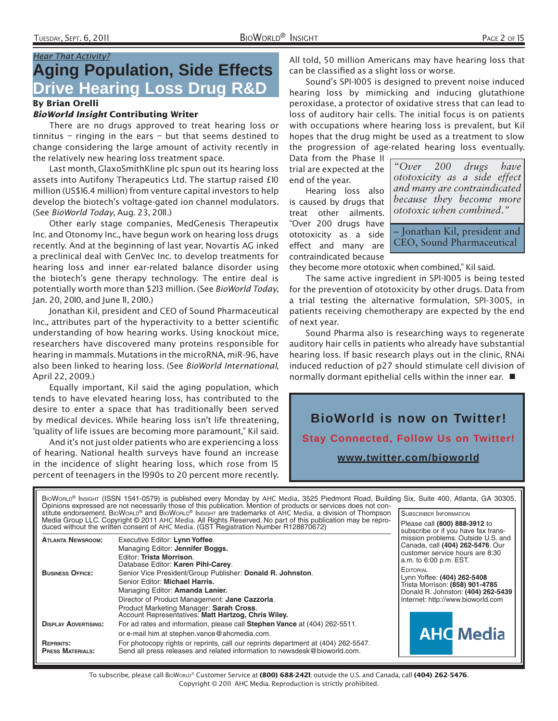### Hear That Activity? **Aging Population, Side Effects Drive Hearing Loss Drug R&D**

#### By Brian Orelli

#### BioWorld Insight Contributing Writer

There are no drugs approved to treat hearing loss or tinnitus – ringing in the ears – but that seems destined to change considering the large amount of activity recently in the relatively new hearing loss treatment space.

Last month, GlaxoSmithKline plc spun out its hearing loss assets into Autifony Therapeutics Ltd. The startup raised £10 million (US\$16.4 million) from venture capital investors to help develop the biotech's voltage-gated ion channel modulators. (See BioWorld Today, Aug. 23, 2011.)

Other early stage companies, MedGenesis Therapeutix Inc. and Otonomy Inc., have begun work on hearing loss drugs recently. And at the beginning of last year, Novartis AG inked a preclinical deal with GenVec Inc. to develop treatments for hearing loss and inner ear-related balance disorder using the biotech's gene therapy technology. The entire deal is potentially worth more than \$213 million. (See BioWorld Today, Jan. 20, 2010, and June II, 2010.)

Jonathan Kil, president and CEO of Sound Pharmaceutical Inc., attributes part of the hyperactivity to a better scientific understanding of how hearing works. Using knockout mice, researchers have discovered many proteins responsible for hearing in mammals. Mutations in the microRNA, miR-96, have also been linked to hearing loss. (See BioWorld International, April 22, 2009.)

Equally important, Kil said the aging population, which tends to have elevated hearing loss, has contributed to the desire to enter a space that has traditionally been served by medical devices. While hearing loss isn't life threatening, "quality of life issues are becoming more paramount," Kil said.

And it's not just older patients who are experiencing a loss of hearing. National health surveys have found an increase in the incidence of slight hearing loss, which rose from 15 percent of teenagers in the 1990s to 20 percent more recently.

All told, 50 million Americans may have hearing loss that can be classified as a slight loss or worse.

Sound's SPI-1005 is designed to prevent noise induced hearing loss by mimicking and inducing glutathione peroxidase, a protector of oxidative stress that can lead to loss of auditory hair cells. The initial focus is on patients with occupations where hearing loss is prevalent, but Kil hopes that the drug might be used as a treatment to slow the progression of age-related hearing loss eventually.

Data from the Phase II trial are expected at the end of the year.

Hearing loss also is caused by drugs that treat other ailments. "Over 200 drugs have ototoxicity as a side effect and many are contraindicated because

*"Over 200 drugs have ototoxicity as a side effect and many are contraindicated because they become more ototoxic when combined*.*"*

– Jonathan Kil, president and CEO, Sound Pharmaceutical

they become more ototoxic when combined," Kil said.

The same active ingredient in SPI-1005 is being tested for the prevention of ototoxicity by other drugs. Data from a trial testing the alternative formulation, SPI-3005, in patients receiving chemotherapy are expected by the end of next year.

Sound Pharma also is researching ways to regenerate auditory hair cells in patients who already have substantial hearing loss. If basic research plays out in the clinic, RNAi induced reduction of p27 should stimulate cell division of normally dormant epithelial cells within the inner ear.



BIOWORLD® INSIGHT (ISSN 1541-0579) is published every Monday by AHC Media, 3525 Piedmont Road, Building Six, Suite 400, Atlanta, GA 30305. Opinions expressed are not necessarily those of this publication. Mention of products or services does not constitute endorsement. BIOWORLD® and BIOWORLD® INSIGHT are trademarks of AHC Media, a division of Thompson SUBSCRIBER INFORMATION Media Group LLC. Copyright © 2011 AHC Media. All Rights Reserved. No part of this publication may be repro-Please call **(800) 888-3912** to duced without the written consent of AHC Media. (GST Registration Number R128870672) subscribe or if you have fax trans-**ATLANTA NEWSROOM:** Executive Editor: **Lynn Yoffee**. mission problems. Outside U.S. and Canada, call **(404) 262-5476**. Our Managing Editor: **Jennifer Boggs.** customer service hours are 8:30 Editor: **Trista Morrison**. a.m. to 6:00 p.m. EST. Database Editor: **Karen Pihl-Carey**. **EDITORIAL BUSINESS OFFICE:** Senior Vice President/Group Publisher: **Donald R. Johnston**. Lynn Yoffee: **(404) 262-5408** Senior Editor: **Michael Harris.** Trista Morrison: **(858) 901-4785** Managing Editor: **Amanda Lanier.** Donald R. Johnston: **(404) 262-5439** Director of Product Management: **Jane Cazzorla**. Internet: http://www.bioworld.com Product Marketing Manager: **Sarah Cross**. Account Representatives: **Matt Hartzog, Chris Wiley. DISPLAY ADVERTISING:** For ad rates and information, please call **Stephen Vance** at (404) 262-5511. **AHC** Media or e-mail him at stephen.vance@ahcmedia.com. **REPRINTS:** For photocopy rights or reprints, call our reprints department at (404) 262-5547. Send all press releases and related information to newsdesk@bioworld.com.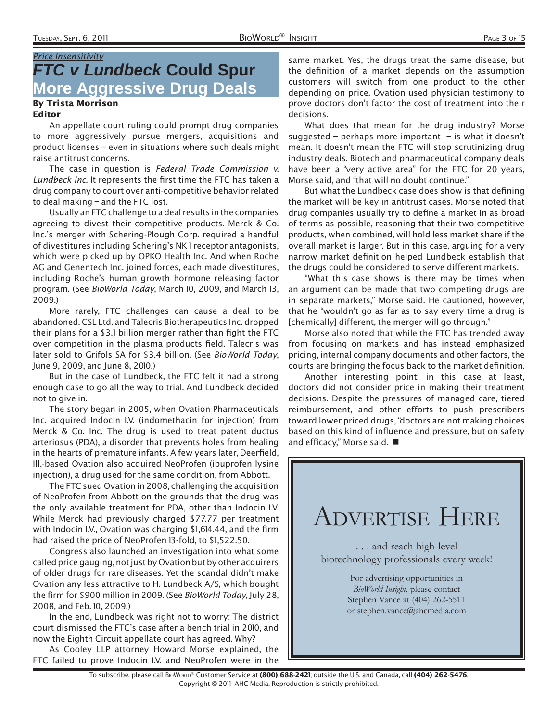### Price Insensitivity *FTC v Lundbeck* **Could Spur More Aggressive Drug Deals**

#### By Trista Morrison Editor

An appellate court ruling could prompt drug companies to more aggressively pursue mergers, acquisitions and product licenses – even in situations where such deals might raise antitrust concerns.

The case in question is Federal Trade Commission v. Lundbeck Inc. It represents the first time the FTC has taken a drug company to court over anti-competitive behavior related to deal making – and the FTC lost.

Usually an FTC challenge to a deal results in the companies agreeing to divest their competitive products. Merck & Co. Inc.'s merger with Schering-Plough Corp. required a handful of divestitures including Schering's NK 1 receptor antagonists, which were picked up by OPKO Health Inc. And when Roche AG and Genentech Inc. joined forces, each made divestitures, including Roche's human growth hormone releasing factor program. (See BioWorld Today, March 10, 2009, and March 13, 2009.)

More rarely, FTC challenges can cause a deal to be abandoned. CSL Ltd. and Talecris Biotherapeutics Inc. dropped their plans for a \$3.1 billion merger rather than fight the FTC over competition in the plasma products field. Talecris was later sold to Grifols SA for \$3.4 billion. (See BioWorld Today, June 9, 2009, and June 8, 2010.)

But in the case of Lundbeck, the FTC felt it had a strong enough case to go all the way to trial. And Lundbeck decided not to give in.

The story began in 2005, when Ovation Pharmaceuticals Inc. acquired Indocin I.V. (indomethacin for injection) from Merck & Co. Inc. The drug is used to treat patent ductus arteriosus (PDA), a disorder that prevents holes from healing in the hearts of premature infants. A few years later, Deerfield, Ill.-based Ovation also acquired NeoProfen (ibuprofen lysine injection), a drug used for the same condition, from Abbott.

The FTC sued Ovation in 2008, challenging the acquisition of NeoProfen from Abbott on the grounds that the drug was the only available treatment for PDA, other than Indocin I.V. While Merck had previously charged \$77.77 per treatment with Indocin I.V., Ovation was charging \$1,614.44, and the firm had raised the price of NeoProfen 13-fold, to \$1,522.50.

Congress also launched an investigation into what some called price gauging, not just by Ovation but by other acquirers of older drugs for rare diseases. Yet the scandal didn't make Ovation any less attractive to H. Lundbeck A/S, which bought the firm for \$900 million in 2009. (See BioWorld Today, July 28, 2008, and Feb. 10, 2009.)

In the end, Lundbeck was right not to worry: The district court dismissed the FTC's case after a bench trial in 2010, and now the Eighth Circuit appellate court has agreed. Why?

As Cooley LLP attorney Howard Morse explained, the FTC failed to prove Indocin I.V. and NeoProfen were in the

same market. Yes, the drugs treat the same disease, but the definition of a market depends on the assumption customers will switch from one product to the other depending on price. Ovation used physician testimony to prove doctors don't factor the cost of treatment into their decisions.

What does that mean for the drug industry? Morse suggested – perhaps more important – is what it doesn't mean. It doesn't mean the FTC will stop scrutinizing drug industry deals. Biotech and pharmaceutical company deals have been a "very active area" for the FTC for 20 years, Morse said, and "that will no doubt continue."

But what the Lundbeck case does show is that defining the market will be key in antitrust cases. Morse noted that drug companies usually try to define a market in as broad of terms as possible, reasoning that their two competitive products, when combined, will hold less market share if the overall market is larger. But in this case, arguing for a very narrow market definition helped Lundbeck establish that the drugs could be considered to serve different markets.

"What this case shows is there may be times when an argument can be made that two competing drugs are in separate markets," Morse said. He cautioned, however, that he "wouldn't go as far as to say every time a drug is [chemically] different, the merger will go through."

Morse also noted that while the FTC has trended away from focusing on markets and has instead emphasized pricing, internal company documents and other factors, the courts are bringing the focus back to the market definition.

Another interesting point: in this case at least, doctors did not consider price in making their treatment decisions. Despite the pressures of managed care, tiered reimbursement, and other efforts to push prescribers toward lower priced drugs, "doctors are not making choices based on this kind of influence and pressure, but on safety and efficacy," Morse said.  $\blacksquare$ 

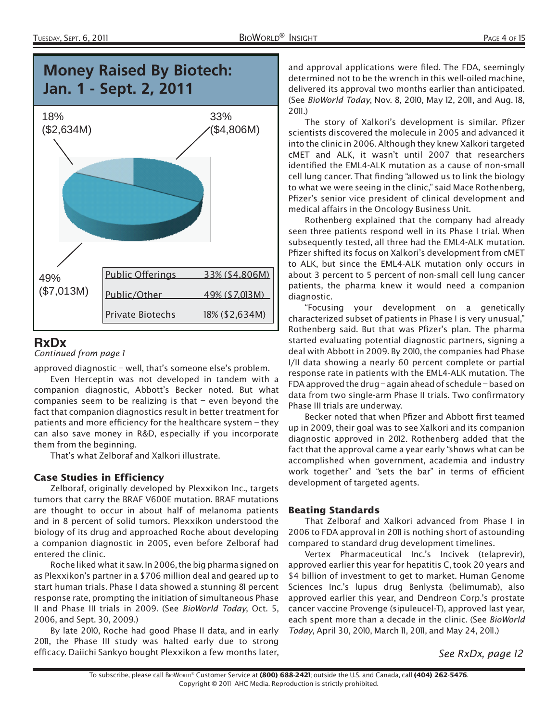

### **RxDx**

Continued from page 1

approved diagnostic – well, that's someone else's problem.

Even Herceptin was not developed in tandem with a companion diagnostic, Abbott's Becker noted. But what companies seem to be realizing is that  $-$  even beyond the fact that companion diagnostics result in better treatment for patients and more efficiency for the healthcare system  $-$  they can also save money in R&D, especially if you incorporate them from the beginning.

That's what Zelboraf and Xalkori illustrate.

#### Case Studies in Efficiency

Zelboraf, originally developed by Plexxikon Inc., targets tumors that carry the BRAF V600E mutation. BRAF mutations are thought to occur in about half of melanoma patients and in 8 percent of solid tumors. Plexxikon understood the biology of its drug and approached Roche about developing a companion diagnostic in 2005, even before Zelboraf had entered the clinic.

Roche liked what it saw. In 2006, the big pharma signed on as Plexxikon's partner in a \$706 million deal and geared up to start human trials. Phase I data showed a stunning 81 percent response rate, prompting the initiation of simultaneous Phase II and Phase III trials in 2009. (See BioWorld Today, Oct. 5, 2006, and Sept. 30, 2009.)

By late 2010, Roche had good Phase II data, and in early 2011, the Phase III study was halted early due to strong efficacy. Daiichi Sankyo bought Plexxikon a few months later,

and approval applications were filed. The FDA, seemingly determined not to be the wrench in this well-oiled machine, delivered its approval two months earlier than anticipated. (See BioWorld Today, Nov. 8, 2010, May 12, 2011, and Aug. 18,  $2011.$ 

The story of Xalkori's development is similar. Pfizer scientists discovered the molecule in 2005 and advanced it into the clinic in 2006. Although they knew Xalkori targeted cMET and ALK, it wasn't until 2007 that researchers identified the EML4-ALK mutation as a cause of non-small cell lung cancer. That finding "allowed us to link the biology to what we were seeing in the clinic," said Mace Rothenberg, Pfizer's senior vice president of clinical development and medical affairs in the Oncology Business Unit.

Rothenberg explained that the company had already seen three patients respond well in its Phase I trial. When subsequently tested, all three had the EML4-ALK mutation. Pfizer shifted its focus on Xalkori's development from CMET to ALK, but since the EML4-ALK mutation only occurs in about 3 percent to 5 percent of non-small cell lung cancer patients, the pharma knew it would need a companion diagnostic.

"Focusing your development on a genetically characterized subset of patients in Phase I is very unusual," Rothenberg said. But that was Pfizer's plan. The pharma started evaluating potential diagnostic partners, signing a deal with Abbott in 2009. By 2010, the companies had Phase I/II data showing a nearly 60 percent complete or partial response rate in patients with the EML4-ALK mutation. The FDA approved the drug – again ahead of schedule – based on data from two single-arm Phase II trials. Two confirmatory Phase III trials are underway.

Becker noted that when Pfizer and Abbott first teamed up in 2009, their goal was to see Xalkori and its companion diagnostic approved in 2012. Rothenberg added that the fact that the approval came a year early "shows what can be accomplished when government, academia and industry work together" and "sets the bar" in terms of efficient development of targeted agents.

#### Beating Standards

That Zelboraf and Xalkori advanced from Phase I in 2006 to FDA approval in 2011 is nothing short of astounding compared to standard drug development timelines.

Vertex Pharmaceutical Inc.'s Incivek (telaprevir), approved earlier this year for hepatitis C, took 20 years and \$4 billion of investment to get to market. Human Genome Sciences Inc.'s lupus drug Benlysta (belimumab), also approved earlier this year, and Dendreon Corp.'s prostate cancer vaccine Provenge (sipuleucel-T), approved last year, each spent more than a decade in the clinic. (See BioWorld Today, April 30, 2010, March II, 2011, and May 24, 2011.)

See RxDx, page 12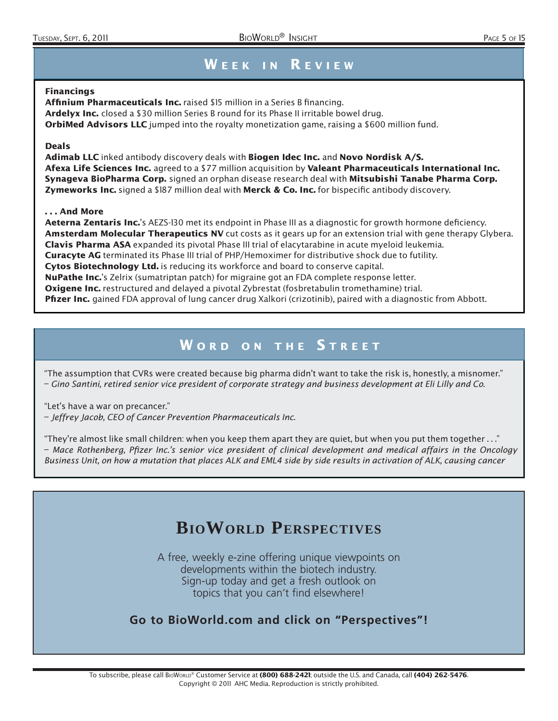### WEEK IN REVIEW

#### Financings

Affinium Pharmaceuticals Inc. raised \$15 million in a Series B financing. Ardelyx Inc. closed a \$30 million Series B round for its Phase II irritable bowel drug. **OrbiMed Advisors LLC** jumped into the royalty monetization game, raising a \$600 million fund.

#### Deals

Adimab LLC inked antibody discovery deals with Biogen Idec Inc. and Novo Nordisk A/S. Afexa Life Sciences Inc. agreed to a \$77 million acquisition by Valeant Pharmaceuticals International Inc. Synageva BioPharma Corp. signed an orphan disease research deal with Mitsubishi Tanabe Pharma Corp. Zymeworks Inc. signed a \$187 million deal with Merck & Co. Inc. for bispecific antibody discovery.

#### . . . And More

**Aeterna Zentaris Inc.'**s AEZS-130 met its endpoint in Phase III as a diagnostic for growth hormone deficiency. Amsterdam Molecular Therapeutics NV cut costs as it gears up for an extension trial with gene therapy Glybera. Clavis Pharma ASA expanded its pivotal Phase III trial of elacytarabine in acute myeloid leukemia. Curacyte AG terminated its Phase III trial of PHP/Hemoximer for distributive shock due to futility. Cytos Biotechnology Ltd. is reducing its workforce and board to conserve capital. **NuPathe Inc.'**s Zelrix (sumatriptan patch) for migraine got an FDA complete response letter. **Oxigene Inc.** restructured and delayed a pivotal Zybrestat (fosbretabulin tromethamine) trial. Pfizer Inc. gained FDA approval of lung cancer drug Xalkori (crizotinib), paired with a diagnostic from Abbott.

### WORD ON THE STREET

"The assumption that CVRs were created because big pharma didn't want to take the risk is, honestly, a misnomer." – Gino Santini, retired senior vice president of corporate strategy and business development at Eli Lilly and Co.

"Let's have a war on precancer."

– Jeffrey Jacob, CEO of Cancer Prevention Pharmaceuticals Inc.

"They're almost like small children: when you keep them apart they are quiet, but when you put them together . . ." – Mace Rothenberg, Pfizer Inc.'s senior vice president of clinical development and medical affairs in the Oncology Business Unit, on how a mutation that places ALK and EML4 side by side results in activation of ALK, causing cancer

# **BIOWORLD PERSPECTIVES**

A free, weekly e-zine offering unique viewpoints on developments within the biotech industry. Sign-up today and get a fresh outlook on topics that you can't find elsewhere!

#### **Go to BioWorld.com and click on "Perspectives"!**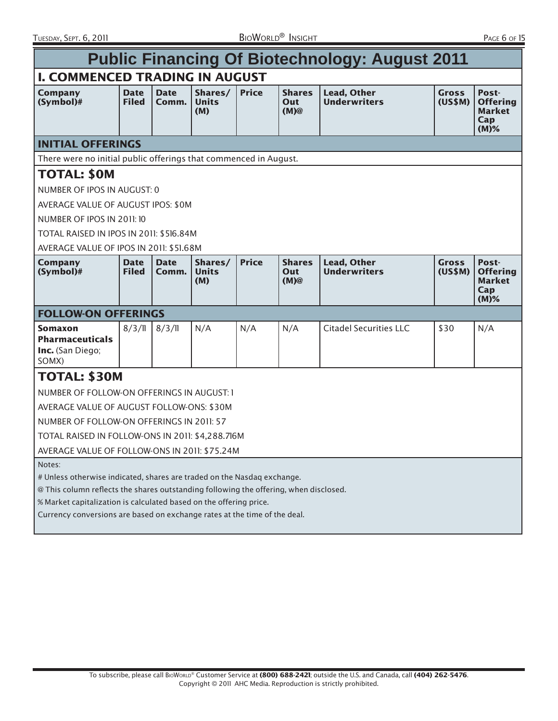| <b>Public Financing Of Biotechnology: August 2011</b>                                                                                                                                                                                                                                                                         |                             |                      |                                |              |                                 |                                           |                         |                                                             |  |
|-------------------------------------------------------------------------------------------------------------------------------------------------------------------------------------------------------------------------------------------------------------------------------------------------------------------------------|-----------------------------|----------------------|--------------------------------|--------------|---------------------------------|-------------------------------------------|-------------------------|-------------------------------------------------------------|--|
| <b>I. COMMENCED TRADING IN AUGUST</b>                                                                                                                                                                                                                                                                                         |                             |                      |                                |              |                                 |                                           |                         |                                                             |  |
| <b>Company</b><br>$(Symbol)$ #                                                                                                                                                                                                                                                                                                | <b>Date</b><br><b>Filed</b> | <b>Date</b><br>Comm. | Shares/<br><b>Units</b><br>(M) | <b>Price</b> | <b>Shares</b><br>Out<br>$(M)$ @ | <b>Lead, Other</b><br><b>Underwriters</b> | <b>Gross</b><br>(US\$M) | Post-<br><b>Offering</b><br><b>Market</b><br>Cap<br>$(M)\%$ |  |
| <b>INITIAL OFFERINGS</b>                                                                                                                                                                                                                                                                                                      |                             |                      |                                |              |                                 |                                           |                         |                                                             |  |
| There were no initial public offerings that commenced in August.                                                                                                                                                                                                                                                              |                             |                      |                                |              |                                 |                                           |                         |                                                             |  |
| <b>TOTAL: \$0M</b>                                                                                                                                                                                                                                                                                                            |                             |                      |                                |              |                                 |                                           |                         |                                                             |  |
| NUMBER OF IPOS IN AUGUST: 0                                                                                                                                                                                                                                                                                                   |                             |                      |                                |              |                                 |                                           |                         |                                                             |  |
| AVERAGE VALUE OF AUGUST IPOS: \$0M                                                                                                                                                                                                                                                                                            |                             |                      |                                |              |                                 |                                           |                         |                                                             |  |
| NUMBER OF IPOS IN 2011: 10                                                                                                                                                                                                                                                                                                    |                             |                      |                                |              |                                 |                                           |                         |                                                             |  |
| TOTAL RAISED IN IPOS IN 2011: \$516.84M                                                                                                                                                                                                                                                                                       |                             |                      |                                |              |                                 |                                           |                         |                                                             |  |
| AVERAGE VALUE OF IPOS IN 2011: \$51,68M                                                                                                                                                                                                                                                                                       |                             |                      |                                |              |                                 |                                           |                         |                                                             |  |
| Company<br>$(Symbol)$ #                                                                                                                                                                                                                                                                                                       | <b>Date</b><br><b>Filed</b> | <b>Date</b><br>Comm. | Shares/<br><b>Units</b><br>(M) | <b>Price</b> | <b>Shares</b><br>Out<br>$(M)$ @ | <b>Lead, Other</b><br><b>Underwriters</b> | <b>Gross</b><br>(US\$M) | Post-<br><b>Offering</b><br><b>Market</b><br>Cap<br>$(M)\%$ |  |
| <b>FOLLOW-ON OFFERINGS</b>                                                                                                                                                                                                                                                                                                    |                             |                      |                                |              |                                 |                                           |                         |                                                             |  |
| Somaxon<br><b>Pharmaceuticals</b><br>Inc. (San Diego;<br>SOMX)                                                                                                                                                                                                                                                                | 8/3/11                      | 8/3/11               | N/A                            | N/A          | N/A                             | <b>Citadel Securities LLC</b>             | \$30                    | N/A                                                         |  |
| <b>TOTAL: \$30M</b>                                                                                                                                                                                                                                                                                                           |                             |                      |                                |              |                                 |                                           |                         |                                                             |  |
| NUMBER OF FOLLOW-ON OFFERINGS IN AUGUST: 1                                                                                                                                                                                                                                                                                    |                             |                      |                                |              |                                 |                                           |                         |                                                             |  |
| AVERAGE VALUE OF AUGUST FOLLOW-ONS: \$30M                                                                                                                                                                                                                                                                                     |                             |                      |                                |              |                                 |                                           |                         |                                                             |  |
| NUMBER OF FOLLOW-ON OFFERINGS IN 2011: 57                                                                                                                                                                                                                                                                                     |                             |                      |                                |              |                                 |                                           |                         |                                                             |  |
| TOTAL RAISED IN FOLLOW-ONS IN 2011: \$4,288.716M                                                                                                                                                                                                                                                                              |                             |                      |                                |              |                                 |                                           |                         |                                                             |  |
| AVERAGE VALUE OF FOLLOW-ONS IN 2011: \$75.24M                                                                                                                                                                                                                                                                                 |                             |                      |                                |              |                                 |                                           |                         |                                                             |  |
| Notes:<br># Unless otherwise indicated, shares are traded on the Nasdag exchange.<br>@ This column reflects the shares outstanding following the offering, when disclosed.<br>% Market capitalization is calculated based on the offering price.<br>Currency conversions are based on exchange rates at the time of the deal. |                             |                      |                                |              |                                 |                                           |                         |                                                             |  |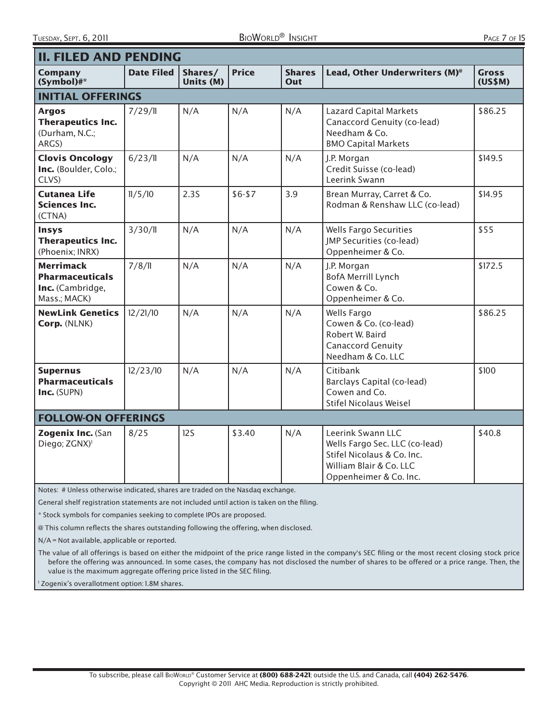| Η.<br>A (.F | λF<br>c |  |
|-------------|---------|--|
|             |         |  |

| <b>II. FILED AND PENDING</b>                                                   |                   |                      |              |                      |                                                                                                                                        |                         |  |  |  |
|--------------------------------------------------------------------------------|-------------------|----------------------|--------------|----------------------|----------------------------------------------------------------------------------------------------------------------------------------|-------------------------|--|--|--|
| <b>Company</b><br>$(Symbol)$ #*                                                | <b>Date Filed</b> | Shares/<br>Units (M) | <b>Price</b> | <b>Shares</b><br>Out | Lead, Other Underwriters (M) <sup>®</sup>                                                                                              | <b>Gross</b><br>(US\$M) |  |  |  |
| <b>INITIAL OFFERINGS</b>                                                       |                   |                      |              |                      |                                                                                                                                        |                         |  |  |  |
| <b>Argos</b><br><b>Therapeutics Inc.</b><br>(Durham, N.C.;<br>ARGS)            | 7/29/11           | N/A                  | N/A          | N/A                  | <b>Lazard Capital Markets</b><br>Canaccord Genuity (co-lead)<br>Needham & Co.<br><b>BMO Capital Markets</b>                            | \$86.25                 |  |  |  |
| <b>Clovis Oncology</b><br>Inc. (Boulder, Colo.;<br>CLVS)                       | 6/23/11           | N/A                  | N/A          | N/A                  | J.P. Morgan<br>Credit Suisse (co-lead)<br>Leerink Swann                                                                                | \$149.5                 |  |  |  |
| <b>Cutanea Life</b><br><b>Sciences Inc.</b><br>(CTNA)                          | 11/5/10           | 2.3S                 | $$6 - $7$    | 3.9                  | Brean Murray, Carret & Co.<br>Rodman & Renshaw LLC (co-lead)                                                                           | \$14.95                 |  |  |  |
| <b>Insys</b><br><b>Therapeutics Inc.</b><br>(Phoenix; INRX)                    | 3/30/l            | N/A                  | N/A          | N/A                  | <b>Wells Fargo Securities</b><br>JMP Securities (co-lead)<br>Oppenheimer & Co.                                                         | \$55                    |  |  |  |
| <b>Merrimack</b><br><b>Pharmaceuticals</b><br>Inc. (Cambridge,<br>Mass.; MACK) | 7/8/11            | N/A                  | N/A          | N/A                  | J.P. Morgan<br><b>BofA Merrill Lynch</b><br>Cowen & Co.<br>Oppenheimer & Co.                                                           | \$172.5                 |  |  |  |
| <b>NewLink Genetics</b><br>Corp. (NLNK)                                        | 12/21/10          | N/A                  | N/A          | N/A                  | Wells Fargo<br>Cowen & Co. (co-lead)<br>Robert W. Baird<br>Canaccord Genuity<br>Needham & Co. LLC                                      | \$86.25                 |  |  |  |
| <b>Supernus</b><br><b>Pharmaceuticals</b><br>Inc. (SUPN)                       | 12/23/10          | N/A                  | N/A          | N/A                  | Citibank<br>Barclays Capital (co-lead)<br>Cowen and Co.<br><b>Stifel Nicolaus Weisel</b>                                               | \$100                   |  |  |  |
| <b>FOLLOW-ON OFFERINGS</b>                                                     |                   |                      |              |                      |                                                                                                                                        |                         |  |  |  |
| Zogenix Inc. (San<br>Diego; ZGNX) <sup>1</sup>                                 | 8/25              | 12S                  | \$3.40       | N/A                  | Leerink Swann LLC<br>Wells Fargo Sec. LLC (co-lead)<br>Stifel Nicolaus & Co. Inc.<br>William Blair & Co. LLC<br>Oppenheimer & Co. Inc. | \$40.8                  |  |  |  |

Notes: # Unless otherwise indicated, shares are traded on the Nasdaq exchange.

General shelf registration statements are not included until action is taken on the filing.

\* Stock symbols for companies seeking to complete IPOs are proposed.

@ This column reflects the shares outstanding following the offering, when disclosed.

N/A = Not available, applicable or reported.

The value of all offerings is based on either the midpoint of the price range listed in the company's SEC filing or the most recent closing stock price before the offering was announced. In some cases, the company has not disclosed the number of shares to be offered or a price range. Then, the value is the maximum aggregate offering price listed in the SEC filing.

<sup>1</sup> Zogenix's overallotment option: 1.8M shares.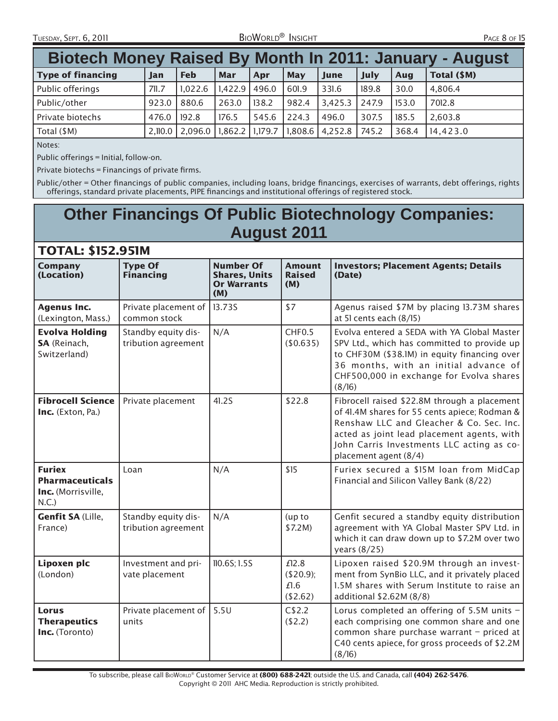TUESDAY, SEPT. 6, 20 1 1 BIOWORLD® INSIGHT PAGE 8 OF 15

| Biotech Money Raised By Month In 2011: January - August |         |            |                 |       |            |                                                         |       |       |             |
|---------------------------------------------------------|---------|------------|-----------------|-------|------------|---------------------------------------------------------|-------|-------|-------------|
| <b>Type of financing</b>                                | Jan     | <b>Feb</b> | Mar             | Apr   | <b>May</b> | June                                                    | July  | Aug   | Total (\$M) |
| Public offerings                                        | 71.7    | 1,022.6    | $1,422.9$ 496.0 |       | 601.9      | 331.6                                                   | 189.8 | 30.0  | 4,806.4     |
| Public/other                                            | 923.0   | 880.6      | 263.0           | 138.2 | 982.4      | $3,425.3$ 247.9                                         |       | 153.0 | 7012.8      |
| Private biotechs                                        | 476.0   | 192.8      | 176.5           | 545.6 | 224.3      | , 496.0                                                 | 307.5 | 185.5 | 2,603.8     |
| Total (\$M)                                             | 2,110.0 |            |                 |       |            | 2,096.0   1,862.2   1,179.7   1,808.6   4,252.8   745.2 |       | 368.4 | 14.423.0    |

Notes:

Public offerings = Initial, follow-on.

Private biotechs  $=$  Financings of private firms.

Public/other = Other financings of public companies, including loans, bridge financings, exercises of warrants, debt offerings, rights offerings, standard private placements, PIPE financings and institutional offerings of registered stock.

# **Other Financings Of Public Biotechnology Companies: August 2011**

### TOTAL: \$152.951M

| <b>Company</b><br>(Location)                                           | <b>Type Of</b><br><b>Financing</b>         | <b>Number Of</b><br><b>Shares, Units</b><br><b>Or Warrants</b><br>(M) | <b>Amount</b><br><b>Raised</b><br>(M)  | <b>Investors; Placement Agents; Details</b><br>(Date)                                                                                                                                                                                                         |
|------------------------------------------------------------------------|--------------------------------------------|-----------------------------------------------------------------------|----------------------------------------|---------------------------------------------------------------------------------------------------------------------------------------------------------------------------------------------------------------------------------------------------------------|
| <b>Agenus Inc.</b><br>(Lexington, Mass.)                               | Private placement of<br>common stock       | 13.73S                                                                | \$7                                    | Agenus raised \$7M by placing 13.73M shares<br>at 51 cents each (8/15)                                                                                                                                                                                        |
| <b>Evolva Holding</b><br>SA (Reinach,<br>Switzerland)                  | Standby equity dis-<br>tribution agreement | N/A                                                                   | CHF <sub>0.5</sub><br>(\$0.635)        | Evolva entered a SEDA with YA Global Master<br>SPV Ltd., which has committed to provide up<br>to CHF30M (\$38.1M) in equity financing over<br>36 months, with an initial advance of<br>CHF500,000 in exchange for Evolva shares<br>(8/16)                     |
| <b>Fibrocell Science</b><br>Inc. (Exton, Pa.)                          | Private placement                          | 41.2S                                                                 | \$22.8                                 | Fibrocell raised \$22.8M through a placement<br>of 41.4M shares for 55 cents apiece; Rodman &<br>Renshaw LLC and Gleacher & Co. Sec. Inc.<br>acted as joint lead placement agents, with<br>John Carris Investments LLC acting as co-<br>placement agent (8/4) |
| <b>Furiex</b><br><b>Pharmaceuticals</b><br>Inc. (Morrisville,<br>N.C.) | Loan                                       | N/A                                                                   | \$15                                   | Furiex secured a \$15M loan from MidCap<br>Financial and Silicon Valley Bank (8/22)                                                                                                                                                                           |
| <b>Genfit SA (Lille,</b><br>France)                                    | Standby equity dis-<br>tribution agreement | N/A                                                                   | (up to<br>\$7.2M)                      | Genfit secured a standby equity distribution<br>agreement with YA Global Master SPV Ltd. in<br>which it can draw down up to \$7.2M over two<br>years (8/25)                                                                                                   |
| Lipoxen plc<br>(London)                                                | Investment and pri-<br>vate placement      | 110.6S; 1.5S                                                          | £12.8<br>(\$20.9);<br>£1.6<br>(\$2.62) | Lipoxen raised \$20.9M through an invest-<br>ment from SynBio LLC, and it privately placed<br>1.5M shares with Serum Institute to raise an<br>additional \$2.62M (8/8)                                                                                        |
| Lorus<br><b>Therapeutics</b><br>Inc. (Toronto)                         | Private placement of<br>units              | 5.5U                                                                  | C\$2.2<br>(\$2.2)                      | Lorus completed an offering of 5.5M units -<br>each comprising one common share and one<br>common share purchase warrant - priced at<br>C40 cents apiece, for gross proceeds of \$2.2M<br>(8/16)                                                              |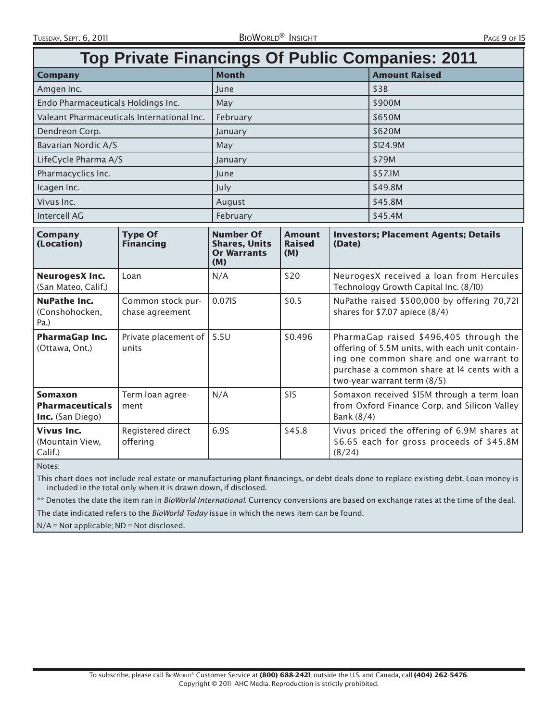| <b>Top Private Financings Of Public Companies: 2011</b>      |                                            |                                                                       |                                       |                                                                                                                                                                                                                   |                                                                                          |  |  |
|--------------------------------------------------------------|--------------------------------------------|-----------------------------------------------------------------------|---------------------------------------|-------------------------------------------------------------------------------------------------------------------------------------------------------------------------------------------------------------------|------------------------------------------------------------------------------------------|--|--|
| <b>Company</b>                                               |                                            | <b>Month</b>                                                          |                                       |                                                                                                                                                                                                                   | <b>Amount Raised</b>                                                                     |  |  |
| Amgen Inc.                                                   |                                            | June                                                                  |                                       |                                                                                                                                                                                                                   | \$3B                                                                                     |  |  |
| Endo Pharmaceuticals Holdings Inc.                           |                                            | May                                                                   |                                       |                                                                                                                                                                                                                   | \$900M                                                                                   |  |  |
|                                                              | Valeant Pharmaceuticals International Inc. | February                                                              |                                       |                                                                                                                                                                                                                   | \$650M                                                                                   |  |  |
| Dendreon Corp.                                               |                                            | January                                                               |                                       |                                                                                                                                                                                                                   | \$620M                                                                                   |  |  |
| Bavarian Nordic A/S                                          |                                            | May                                                                   |                                       |                                                                                                                                                                                                                   | \$124.9M                                                                                 |  |  |
| LifeCycle Pharma A/S                                         |                                            | January                                                               |                                       |                                                                                                                                                                                                                   | \$79M                                                                                    |  |  |
| Pharmacyclics Inc.                                           |                                            | June                                                                  |                                       |                                                                                                                                                                                                                   | \$57.1M                                                                                  |  |  |
| Icagen Inc.                                                  |                                            | July                                                                  |                                       |                                                                                                                                                                                                                   | \$49.8M                                                                                  |  |  |
| Vivus Inc.                                                   |                                            | August                                                                |                                       |                                                                                                                                                                                                                   | \$45.8M                                                                                  |  |  |
| <b>Intercell AG</b>                                          |                                            | February                                                              |                                       |                                                                                                                                                                                                                   | \$45.4M                                                                                  |  |  |
| <b>Company</b><br>(Location)                                 | <b>Type Of</b><br><b>Financing</b>         | <b>Number Of</b><br><b>Shares, Units</b><br><b>Or Warrants</b><br>(M) | <b>Amount</b><br><b>Raised</b><br>(M) | <b>Investors; Placement Agents; Details</b><br>(Date)                                                                                                                                                             |                                                                                          |  |  |
| <b>NeurogesX Inc.</b><br>(San Mateo, Calif.)                 | Loan                                       | N/A                                                                   | \$20                                  | NeurogesX received a loan from Hercules<br>Technology Growth Capital Inc. (8/10)                                                                                                                                  |                                                                                          |  |  |
| <b>NuPathe Inc.</b><br>(Conshohocken,<br>Pa.)                | Common stock pur-<br>chase agreement       | 0.071S                                                                | \$0.5                                 | NuPathe raised \$500,000 by offering 70,721<br>shares for $$7.07$ apiece $(8/4)$                                                                                                                                  |                                                                                          |  |  |
| <b>PharmaGap Inc.</b><br>(Ottawa, Ont.)                      | Private placement of<br>units              | 5.5U                                                                  | \$0.496                               | PharmaGap raised \$496,405 through the<br>offering of 5.5M units, with each unit contain-<br>ing one common share and one warrant to<br>purchase a common share at 14 cents with a<br>two-year warrant term (8/5) |                                                                                          |  |  |
| <b>Somaxon</b><br><b>Pharmaceuticals</b><br>Inc. (San Diego) | Term loan agree-<br>ment                   | N/A                                                                   | \$15                                  | Somaxon received \$15M through a term loan<br>from Oxford Finance Corp. and Silicon Valley<br>Bank (8/4)                                                                                                          |                                                                                          |  |  |
| <b>Vivus Inc.</b><br>(Mountain View,<br>Calif.)              | Registered direct<br>offering              | 6.9S                                                                  | \$45.8                                | (8/24)                                                                                                                                                                                                            | Vivus priced the offering of 6.9M shares at<br>\$6.65 each for gross proceeds of \$45.8M |  |  |

Notes:

This chart does not include real estate or manufacturing plant financings, or debt deals done to replace existing debt. Loan money is included in the total only when it is drawn down, if disclosed.

\*\* Denotes the date the item ran in BioWorld International. Currency conversions are based on exchange rates at the time of the deal.

The date indicated refers to the BioWorld Today issue in which the news item can be found.

N/A = Not applicable; ND = Not disclosed.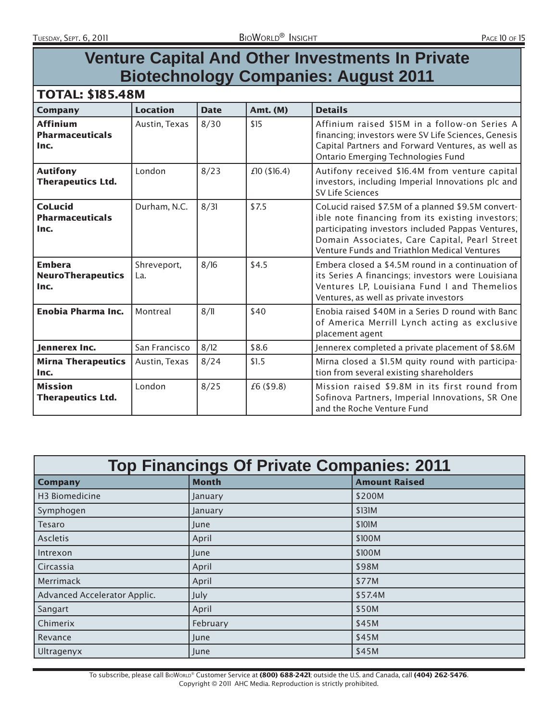# **Venture Capital And Other Investments In Private Biotechnology Companies: August 2011**

#### TOTAL: \$185.48M

| <b>Company</b>                                    | <b>Location</b>    | <b>Date</b> | Amt. (M)    | <b>Details</b>                                                                                                                                                                                                                                               |
|---------------------------------------------------|--------------------|-------------|-------------|--------------------------------------------------------------------------------------------------------------------------------------------------------------------------------------------------------------------------------------------------------------|
| <b>Affinium</b><br><b>Pharmaceuticals</b><br>Inc. | Austin, Texas      | 8/30        | \$15        | Affinium raised \$15M in a follow-on Series A<br>financing; investors were SV Life Sciences, Genesis<br>Capital Partners and Forward Ventures, as well as<br><b>Ontario Emerging Technologies Fund</b>                                                       |
| <b>Autifony</b><br><b>Therapeutics Ltd.</b>       | London             | 8/23        | £10(\$16.4) | Autifony received \$16.4M from venture capital<br>investors, including Imperial Innovations plc and<br><b>SV Life Sciences</b>                                                                                                                               |
| <b>CoLucid</b><br><b>Pharmaceuticals</b><br>Inc.  | Durham, N.C.       | 8/31        | \$7.5       | CoLucid raised \$7.5M of a planned \$9.5M convert-<br>ible note financing from its existing investors;<br>participating investors included Pappas Ventures,<br>Domain Associates, Care Capital, Pearl Street<br>Venture Funds and Triathlon Medical Ventures |
| <b>Embera</b><br><b>NeuroTherapeutics</b><br>Inc. | Shreveport,<br>La. | 8/16        | \$4.5       | Embera closed a \$4.5M round in a continuation of<br>its Series A financings; investors were Louisiana<br>Ventures LP, Louisiana Fund I and Themelios<br>Ventures, as well as private investors                                                              |
| <b>Enobia Pharma Inc.</b>                         | Montreal           | 8/11        | \$40        | Enobia raised \$40M in a Series D round with Banc<br>of America Merrill Lynch acting as exclusive<br>placement agent                                                                                                                                         |
| lennerex Inc.                                     | San Francisco      | 8/12        | \$8.6       | Jennerex completed a private placement of \$8.6M                                                                                                                                                                                                             |
| <b>Mirna Therapeutics</b><br>Inc.                 | Austin, Texas      | 8/24        | \$1.5       | Mirna closed a \$1.5M quity round with participa-<br>tion from several existing shareholders                                                                                                                                                                 |
| <b>Mission</b><br><b>Therapeutics Ltd.</b>        | London             | 8/25        | £6 (\$9.8)  | Mission raised \$9.8M in its first round from<br>Sofinova Partners, Imperial Innovations, SR One<br>and the Roche Venture Fund                                                                                                                               |

| <b>Top Financings Of Private Companies: 2011</b> |              |                      |  |  |  |  |
|--------------------------------------------------|--------------|----------------------|--|--|--|--|
| <b>Company</b>                                   | <b>Month</b> | <b>Amount Raised</b> |  |  |  |  |
| H <sub>3</sub> Biomedicine                       | January      | \$200M               |  |  |  |  |
| Symphogen                                        | January      | \$131M               |  |  |  |  |
| <b>Tesaro</b>                                    | June         | \$101M               |  |  |  |  |
| <b>Ascletis</b>                                  | April        | \$100M               |  |  |  |  |
| Intrexon                                         | June         | \$100M               |  |  |  |  |
| Circassia                                        | April        | \$98M                |  |  |  |  |
| Merrimack                                        | April        | \$77M                |  |  |  |  |
| Advanced Accelerator Applic.                     | July         | \$57.4M              |  |  |  |  |
| Sangart                                          | April        | \$50M                |  |  |  |  |
| Chimerix                                         | February     | \$45M                |  |  |  |  |
| Revance                                          | June         | \$45M                |  |  |  |  |
| Ultragenyx                                       | June         | \$45M                |  |  |  |  |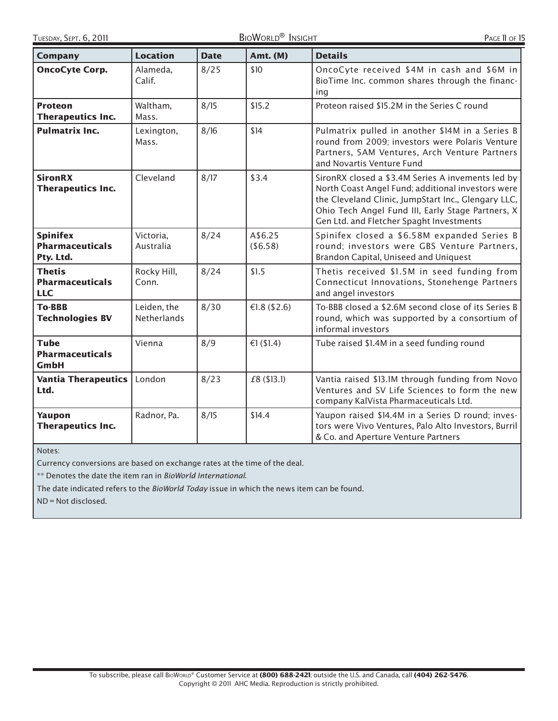| <b>Company</b>                                         | <b>Location</b>                   | <b>Date</b> | <b>Amt. (M)</b>     | <b>Details</b>                                                                                                                                                                                                                                                 |
|--------------------------------------------------------|-----------------------------------|-------------|---------------------|----------------------------------------------------------------------------------------------------------------------------------------------------------------------------------------------------------------------------------------------------------------|
| <b>OncoCyte Corp.</b>                                  | Alameda,<br>Calif.                | 8/25        | \$10                | OncoCyte received \$4M in cash and \$6M in<br>BioTime Inc. common shares through the financ-<br>ing                                                                                                                                                            |
| <b>Proteon</b><br><b>Therapeutics Inc.</b>             | Waltham,<br>Mass.                 | 8/15        | \$15.2              | Proteon raised \$15.2M in the Series C round                                                                                                                                                                                                                   |
| <b>Pulmatrix Inc.</b>                                  | Lexington,<br>Mass.               | 8/16        | \$14                | Pulmatrix pulled in another \$14M in a Series B<br>round from 2009; investors were Polaris Venture<br>Partners, 5AM Ventures, Arch Venture Partners<br>and Novartis Venture Fund                                                                               |
| <b>SironRX</b><br><b>Therapeutics Inc.</b>             | Cleveland                         | 8/17        | \$3.4               | SironRX closed a \$3.4M Series A invements led by<br>North Coast Angel Fund; additional investors were<br>the Cleveland Clinic, JumpStart Inc., Glengary LLC,<br>Ohio Tech Angel Fund III, Early Stage Partners, X<br>Gen Ltd. and Fletcher Spaght Investments |
| <b>Spinifex</b><br><b>Pharmaceuticals</b><br>Pty. Ltd. | Victoria,<br>Australia            | 8/24        | A\$6.25<br>(\$6.58) | Spinifex closed a \$6.58M expanded Series B<br>round; investors were GBS Venture Partners,<br>Brandon Capital, Uniseed and Uniquest                                                                                                                            |
| Thetis<br><b>Pharmaceuticals</b><br><b>LLC</b>         | Rocky Hill,<br>Conn.              | 8/24        | \$1.5               | Thetis received \$1.5M in seed funding from<br>Connecticut Innovations, Stonehenge Partners<br>and angel investors                                                                                                                                             |
| <b>To-BBB</b><br><b>Technologies BV</b>                | Leiden, the<br><b>Netherlands</b> | 8/30        | €1.8 (\$2.6)        | To-BBB closed a \$2.6M second close of its Series B<br>round, which was supported by a consortium of<br>informal investors                                                                                                                                     |
| <b>Tube</b><br><b>Pharmaceuticals</b><br><b>GmbH</b>   | Vienna                            | 8/9         | €1 $($1.4)$         | Tube raised \$1.4M in a seed funding round                                                                                                                                                                                                                     |
| <b>Vantia Therapeutics</b><br>Ltd.                     | London                            | 8/23        | £8 (\$13.1)         | Vantia raised \$13.1M through funding from Novo<br>Ventures and SV Life Sciences to form the new<br>company KalVista Pharmaceuticals Ltd.                                                                                                                      |
| Yaupon<br><b>Therapeutics Inc.</b>                     | Radnor, Pa.                       | 8/15        | \$14.4              | Yaupon raised \$14.4M in a Series D round; inves-<br>tors were Vivo Ventures, Palo Alto Investors, Burril<br>& Co. and Aperture Venture Partners                                                                                                               |

Notes:

Currency conversions are based on exchange rates at the time of the deal.

\*\* Denotes the date the item ran in BioWorld International.

The date indicated refers to the BioWorld Today issue in which the news item can be found.

ND = Not disclosed.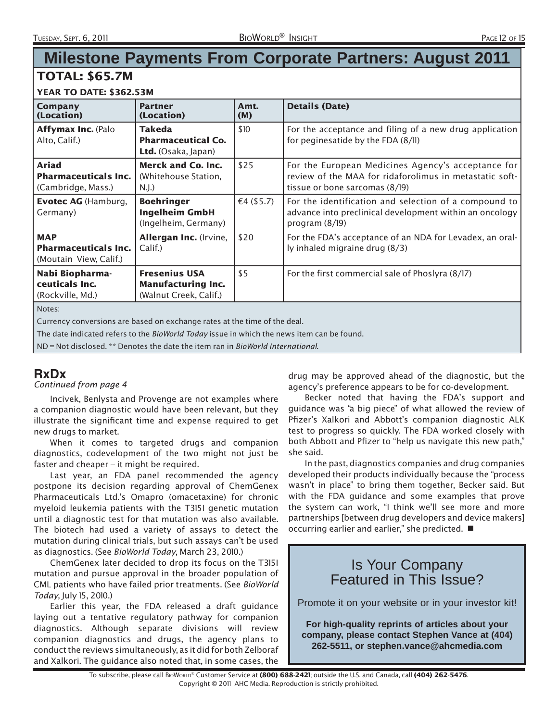# **Milestone Payments From Corporate Partners: August 2011**

#### TOTAL: \$65.7M

#### YEAR TO DATE: \$362.53M

| $LATN I V V T T I U V J V L I J J I N I$                                                                                                                                                 |                                                                             |               |                                                                                                                                                 |  |  |  |
|------------------------------------------------------------------------------------------------------------------------------------------------------------------------------------------|-----------------------------------------------------------------------------|---------------|-------------------------------------------------------------------------------------------------------------------------------------------------|--|--|--|
| Company<br>(Location)                                                                                                                                                                    | <b>Partner</b><br>(Location)                                                | Amt.<br>(M)   | <b>Details (Date)</b>                                                                                                                           |  |  |  |
| Affymax Inc. (Palo<br>Alto, Calif.)                                                                                                                                                      | <b>Takeda</b><br><b>Pharmaceutical Co.</b><br><b>Ltd.</b> (Osaka, Japan)    | \$10          | For the acceptance and filing of a new drug application<br>for peginesatide by the FDA (8/11)                                                   |  |  |  |
| <b>Ariad</b><br><b>Pharmaceuticals Inc.</b><br>(Cambridge, Mass.)                                                                                                                        | <b>Merck and Co. Inc.</b><br>(Whitehouse Station,<br>N.J.                   | \$25          | For the European Medicines Agency's acceptance for<br>review of the MAA for ridaforolimus in metastatic soft-<br>tissue or bone sarcomas (8/19) |  |  |  |
| <b>Evotec AG</b> (Hamburg,<br>Germany)                                                                                                                                                   | <b>Boehringer</b><br><b>Ingelheim GmbH</b><br>(Ingelheim, Germany)          | €4 $($ \$5.7) | For the identification and selection of a compound to<br>advance into preclinical development within an oncology<br>program $(8/19)$            |  |  |  |
| <b>MAP</b><br><b>Pharmaceuticals Inc.</b><br>(Moutain View, Calif.)                                                                                                                      | Allergan Inc. (Irvine,<br>Calif.)                                           | \$20          | For the FDA's acceptance of an NDA for Levadex, an oral-<br>ly inhaled migraine drug (8/3)                                                      |  |  |  |
| Nabi Biopharma-<br>ceuticals Inc.<br>(Rockville, Md.)                                                                                                                                    | <b>Fresenius USA</b><br><b>Manufacturing Inc.</b><br>(Walnut Creek, Calif.) | \$5           | For the first commercial sale of Phoslyra (8/17)                                                                                                |  |  |  |
| Notes:<br>Currency conversions are based on exchange rates at the time of the deal.<br>The date indicated refers to the <i>BioWorld Today</i> issue in which the news item can be found. |                                                                             |               |                                                                                                                                                 |  |  |  |

ND = Not disclosed. \*\* Denotes the date the item ran in BioWorld International.

### **RxDx**

Continued from page 4

Incivek, Benlysta and Provenge are not examples where a companion diagnostic would have been relevant, but they illustrate the significant time and expense required to get new drugs to market.

When it comes to targeted drugs and companion diagnostics, codevelopment of the two might not just be faster and cheaper – it might be required.

Last year, an FDA panel recommended the agency postpone its decision regarding approval of ChemGenex Pharmaceuticals Ltd.'s Omapro (omacetaxine) for chronic myeloid leukemia patients with the T315I genetic mutation until a diagnostic test for that mutation was also available. The biotech had used a variety of assays to detect the mutation during clinical trials, but such assays can't be used as diagnostics. (See BioWorld Today, March 23, 2010.)

ChemGenex later decided to drop its focus on the T315I mutation and pursue approval in the broader population of CML patients who have failed prior treatments. (See BioWorld Today, July 15, 2010.)

Earlier this year, the FDA released a draft guidance laying out a tentative regulatory pathway for companion diagnostics. Although separate divisions will review companion diagnostics and drugs, the agency plans to conduct the reviews simultaneously, as it did for both Zelboraf and Xalkori. The guidance also noted that, in some cases, the

drug may be approved ahead of the diagnostic, but the agency's preference appears to be for co-development.

Becker noted that having the FDA's support and guidance was "a big piece" of what allowed the review of Pfizer's Xalkori and Abbott's companion diagnostic ALK test to progress so quickly. The FDA worked closely with both Abbott and Pfizer to "help us navigate this new path," she said.

In the past, diagnostics companies and drug companies developed their products individually because the "process wasn't in place" to bring them together, Becker said. But with the FDA guidance and some examples that prove the system can work, "I think we'll see more and more partnerships [between drug developers and device makers] occurring earlier and earlier," she predicted.

## Is Your Company Featured in This Issue?

Promote it on your website or in your investor kit!

**For high-quality reprints of articles about your company, please contact Stephen Vance at (404) 262-5511, or stephen.vance@ahcmedia.com**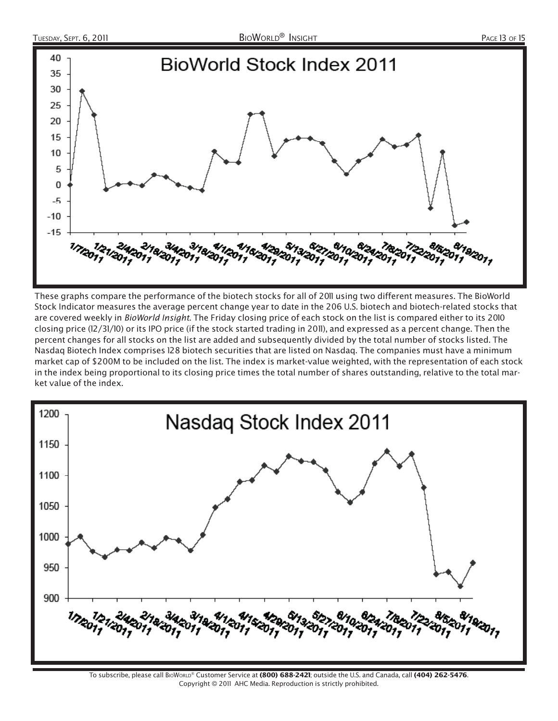

These graphs compare the performance of the biotech stocks for all of 2011 using two different measures. The BioWorld Stock Indicator measures the average percent change year to date in the 206 U.S. biotech and biotech-related stocks that are covered weekly in BioWorld Insight. The Friday closing price of each stock on the list is compared either to its 2010 closing price (12/31/10) or its IPO price (if the stock started trading in 2011), and expressed as a percent change. Then the percent changes for all stocks on the list are added and subsequently divided by the total number of stocks listed. The Nasdaq Biotech Index comprises 128 biotech securities that are listed on Nasdaq. The companies must have a minimum market cap of \$200M to be included on the list. The index is market-value weighted, with the representation of each stock in the index being proportional to its closing price times the total number of shares outstanding, relative to the total market value of the index.

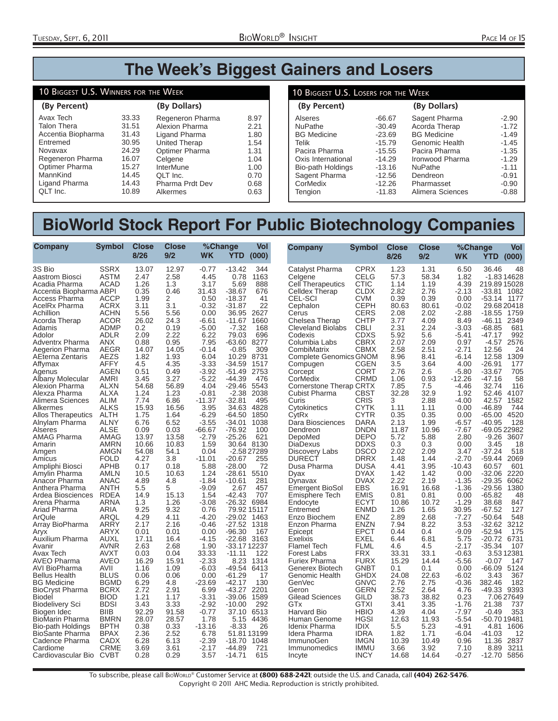# **The Week's Biggest Gainers and Losers**

#### 10 BIGGEST U.S. WINNERS FOR THE WEEK

| (By Percent)       |       | (By Dollars)         |      |
|--------------------|-------|----------------------|------|
| Avax Tech          | 33.33 | Regeneron Pharma     | 8.97 |
| <b>Talon Thera</b> | 31.51 | Alexion Pharma       | 2.21 |
| Accentia Biopharma | 31.43 | Ligand Pharma        | 1.80 |
| Entremed           | 30.95 | <b>United Therap</b> | 1.54 |
| Novavax            | 24.29 | Optimer Pharma       | 1.31 |
| Regeneron Pharma   | 16.07 | Celgene              | 1.04 |
| Optimer Pharma     | 15.27 | <b>InterMune</b>     | 1.00 |
| MannKind           | 14.45 | QLT Inc.             | 0.70 |
| Ligand Pharma      | 14.43 | Pharma Prdt Dev      | 0.68 |
| QLT Inc.           | 10.89 | Alkermes             | 0.63 |

#### **(By Percent) (By Dollars)** 10 BIGGEST U.S. LOSERS FOR THE WEEK Alseres -66.67<br>NuPathe -30.49 NuPathe -30.49<br>BG Medicine -23.69 BG Medicine<br>Telik -15.79<br>-15.55 Pacira Pharma -15.55<br>Oxis International -14.29 Oxis International Bio-path Holdings -13.16<br>Sagent Pharma -12.56 Sagent Pharma<br>CorMedix -12.26 CorMedix -12.26<br>Tengion -11.83 **Tengion** Sagent Pharma -2.90<br>Acorda Therap -1.72 Acorda Therap 1.72<br>BG Medicine 1.49 BG Medicine -1.49<br>Genomic Health -1.45 Genomic Health -1.45<br>Pacira Pharma -1.35 Pacira Pharma -1.35<br>Ironwood Pharma -1.29 Ironwood Pharma NuPathe -1.11<br>Dendreon -0.91 Dendreon -0.91<br>Pharmasset -0.90 Pharmasset -0.90<br>Alimera Sciences -0.88 Alimera Sciences

# **BioWorld Stock Report For Public Biotechnology Companies**

| Company                                                                                                                                                                                                                                                                                                                               | <b>Symbol</b>                                                                                                                                                                                                                                                | <b>Close</b><br>8/26                                                                                                                                            | <b>Close</b><br>9/2                                                                                                                                         | %Change<br><b>WK</b>                                                                                                                                                                       | YTD.                                                                                                                                                                                                                                  | Vol<br>(000)                                                                                                                                     | Company                                                                                                                                                                                                                                                                                                                                                         | Symbol                                                                                                                                                                                                                                                      | Close<br>8/26                                                                                                                                              | <b>Close</b><br>9/2                                                                                                                                         | %Change<br>WK                                                                                                                                                                                | YTD.                                                                                                                                                                                                      | Vol<br>(000)                                                                                                                                           |
|---------------------------------------------------------------------------------------------------------------------------------------------------------------------------------------------------------------------------------------------------------------------------------------------------------------------------------------|--------------------------------------------------------------------------------------------------------------------------------------------------------------------------------------------------------------------------------------------------------------|-----------------------------------------------------------------------------------------------------------------------------------------------------------------|-------------------------------------------------------------------------------------------------------------------------------------------------------------|--------------------------------------------------------------------------------------------------------------------------------------------------------------------------------------------|---------------------------------------------------------------------------------------------------------------------------------------------------------------------------------------------------------------------------------------|--------------------------------------------------------------------------------------------------------------------------------------------------|-----------------------------------------------------------------------------------------------------------------------------------------------------------------------------------------------------------------------------------------------------------------------------------------------------------------------------------------------------------------|-------------------------------------------------------------------------------------------------------------------------------------------------------------------------------------------------------------------------------------------------------------|------------------------------------------------------------------------------------------------------------------------------------------------------------|-------------------------------------------------------------------------------------------------------------------------------------------------------------|----------------------------------------------------------------------------------------------------------------------------------------------------------------------------------------------|-----------------------------------------------------------------------------------------------------------------------------------------------------------------------------------------------------------|--------------------------------------------------------------------------------------------------------------------------------------------------------|
| 3S Bio<br>Aastrom Biosci<br>Acadia Pharma<br>Accentia Biopharma ABPI<br>Access Pharma<br>AcelRx Pharma<br>Achillion<br>Acorda Therap<br>Adamis<br>Adolor<br><b>Adventrx Pharma</b><br>Aegerion Pharma<br>AEterna Zentaris<br>Affymax<br>Agenus<br>Albany Molecular<br>Alexion Pharma<br>Alexza Pharma<br>Alimera Sciences<br>Alkermes | <b>SSRX</b><br><b>ASTM</b><br><b>ACAD</b><br><b>ACCP</b><br><b>ACRX</b><br><b>ACHN</b><br><b>ACOR</b><br><b>ADMP</b><br>ADLR<br><b>ANX</b><br><b>AEGR</b><br>AEZS<br>AFFY<br><b>AGEN</b><br><b>AMRI</b><br>ALXN<br><b>ALXA</b><br><b>ALIM</b><br><b>ALKS</b> | 13.07<br>2.47<br>1.26<br>0.35<br>1.99<br>3.11<br>5.56<br>26.02<br>0.2<br>2.09<br>0.88<br>14.07<br>1.82<br>4.5<br>0.51<br>3.45<br>54.68<br>1.24<br>7.74<br>15.93 | 12.97<br>2.58<br>1.3<br>0.46<br>2<br>3.1<br>5.56<br>24.3<br>0.19<br>2.22<br>0.95<br>14.05<br>1.93<br>4.35<br>0.49<br>3.27<br>56.89<br>1.23<br>6.86<br>16.56 | $-0.77$<br>4.45<br>3.17<br>31.43<br>0.50<br>$-0.32$<br>0.00<br>-6.61<br>$-5.00$<br>6.22<br>7.95<br>$-0.14$<br>6.04<br>$-3.33$<br>$-3.92$<br>$-5.22$<br>4.04<br>$-0.81$<br>$-11.37$<br>3.95 | $-13.42$<br>0.78<br>5.69<br>$-38.67$<br>$-18.37$<br>$-31.87$<br>36.95<br>$-11.67$<br>$-7.32$<br>79.03<br>$-63.60$<br>$-0.85$<br>10.29<br>$-34.59$<br>$-51.49$<br>$-44.39$<br>$-29.46$<br>$-2.38$<br>$-32.81$<br>34.63                 | 344<br>1163<br>888<br>676<br>41<br>22<br>2627<br>1660<br>168<br>696<br>8277<br>309<br>8731<br>1517<br>2753<br>476<br>5543<br>2038<br>495<br>4828 | Catalyst Pharma<br>Celgene<br><b>Cell Therapeutics</b><br><b>Celldex Therap</b><br><b>CEL-SCI</b><br>Cephalon<br>Cerus<br>Chelsea Therap<br><b>Cleveland Biolabs</b><br>Codexis<br>Columbia Labs<br>CombiMatrix<br><b>Complete Genomics GNOM</b><br>Compugen<br>Corcept<br>CorMedix<br>Cornerstone Therap CRTX<br><b>Cubist Pharma</b><br>Curis<br>Cytokinetics | <b>CPRX</b><br>CELG<br>CTIC<br><b>CLDX</b><br>CVM<br>CEPH<br><b>CERS</b><br><b>CHTP</b><br><b>CBLI</b><br><b>CDXS</b><br><b>CBRX</b><br>CBMX<br><b>CGEN</b><br><b>CORT</b><br>CRMD<br>CBST<br>CRIS<br>CYTK                                                  | 1.23<br>57.3<br>1.14<br>2.82<br>0.39<br>80.63<br>2.08<br>3.77<br>2.31<br>5.92<br>2.07<br>2.58<br>8.96<br>3.5<br>2.76<br>1.06<br>7.85<br>32.28<br>3<br>1.11 | 1.31<br>58.34<br>1.19<br>2.76<br>0.39<br>80.61<br>2.02<br>4.09<br>2.24<br>5.6<br>2.09<br>2.51<br>8.41<br>3.64<br>2.6<br>0.93<br>7.5<br>32.9<br>2.88<br>1.11 | 6.50<br>1.82<br>4.39<br>$-2.13$<br>0.00<br>$-0.02$<br>$-2.88$<br>8.49<br>$-3.03$<br>-5.41<br>0.97<br>$-2.71$<br>$-6.14$<br>4.00<br>$-5.80$<br>$-12.26$<br>$-4.46$<br>1.92<br>$-4.00$<br>0.00 | 36.46<br>219.8915028<br>$-33.81$<br>-53.14<br>$-18.55$<br>-46.11<br>$-68.85$<br>$-47.17$<br>$-4.57$<br>12.56<br>12.58<br>$-26.91$<br>$-33.67$<br>$-47.16$<br>32.74<br>52.46<br>42.57<br>$-46.89$          | 48<br>$-1.8314628$<br>1082<br>1177<br>29.6820418<br>1759<br>2349<br>681<br>992<br>2576<br>24<br>1309<br>177<br>705<br>58<br>116<br>4107<br>1582<br>744 |
| <b>Allos Therapeutics</b><br>Alnylam Pharma<br>Alseres<br>AMAG Pharma<br>Amarin<br>Amgen<br>Amicus<br>Ampliphi Biosci<br>Amylin Pharma<br>Anacor Pharma<br>Anthera Pharma<br>Ardea Biosciences<br>Arena Pharma<br>Ariad Pharma<br>ArQule<br>Array BioPharma<br>Aryx<br>Auxilium Pharma<br>Avanir                                      | ALTH<br><b>ALNY</b><br>ALSE<br>AMAG<br><b>AMRN</b><br>AMGN<br><b>FOLD</b><br><b>APHB</b><br><b>AMLN</b><br><b>ANAC</b><br>ANTH<br><b>RDEA</b><br><b>ARNA</b><br><b>ARIA</b><br>ARQL<br>ARRY<br><b>ARYX</b><br>AUXL<br><b>AVNR</b>                            | 1.75<br>6.76<br>0.09<br>13.97<br>10.66<br>54.08<br>4.27<br>0.17<br>10.5<br>4.89<br>5.5<br>14.9<br>1.3<br>9.25<br>4.29<br>2.17<br>0.01<br>17.11<br>2.63          | 1.64<br>6.52<br>0.03<br>13.58<br>10.83<br>54.1<br>3.8<br>0.18<br>10.63<br>4.8<br>5<br>15.13<br>1.26<br>9.32<br>4.11<br>2.16<br>0.01<br>16.4<br>2.68         | $-6.29$<br>$-3.55$<br>-66.67<br>$-2.79$<br>1.59<br>0.04<br>$-11.01$<br>5.88<br>1.24<br>$-1.84$<br>$-9.09$<br>1.54<br>$-3.08$<br>0.76<br>$-4.20$<br>$-0.46$<br>0.00<br>-4.15<br>1.90        | $-64.50$<br>$-34.01$<br>$-76.92$<br>$-25.26$<br>30.64 8130<br>$-20.67$<br>$-28.00$<br>$-28.61$<br>$-10.61$<br>2.67<br>$-42.43$<br>-26.32 6984<br>79.92 15117<br>$-29.02$<br>$-27.52$ 1318<br>$-96.30$<br>$-22.68$ 3163<br>-33.1712237 | 1850<br>1038<br>100<br>621<br>$-2.5827289$<br>255<br>72<br>5510<br>281<br>457<br>707<br>1463<br>167                                              | CytRx<br>Dara Biosciences<br>Dendreon<br>DepoMed<br><b>DiaDexus</b><br>Discovery Labs<br><b>DURECT</b><br>Dusa Pharma<br>Dyax<br>Dynavax<br><b>Emergent BioSol</b><br>Emisphere Tech<br>Endocyte<br>Entremed<br>Enzo Biochem<br>Enzon Pharma<br>Epicept<br><b>Exelixis</b><br><b>Flamel Tech</b>                                                                | CYTR<br><b>DARA</b><br><b>DNDN</b><br><b>DEPO</b><br><b>DDXS</b><br><b>DSCO</b><br><b>DRRX</b><br><b>DUSA</b><br><b>DYAX</b><br><b>DVAX</b><br><b>EBS</b><br><b>EMIS</b><br><b>ECYT</b><br><b>ENMD</b><br><b>ENZ</b><br>ENZN<br>EPCT<br>EXEL<br><b>FLML</b> | 0.35<br>2.13<br>11.87<br>5.72<br>0.3<br>2.02<br>1.48<br>4.41<br>1.42<br>2.22<br>16.91<br>0.81<br>10.86<br>1.26<br>2.89<br>7.94<br>0.44<br>6.44<br>4.6      | 0.35<br>1.99<br>10.96<br>5.88<br>0.3<br>2.09<br>1.44<br>3.95<br>1.42<br>2.19<br>16.68<br>0.81<br>10.72<br>1.65<br>2.68<br>8.22<br>0.4<br>6.81<br>4.5        | 0.00<br>-6.57<br>$-7.67$<br>2.80<br>0.00<br>3.47<br>$-2.70$<br>$-10.43$<br>0.00<br>$-1.35$<br>$-1.36$<br>0.00<br>$-1.29$<br>30.95<br>$-7.27$<br>3.53<br>$-9.09$<br>5.75<br>$-2.17$           | $-65.00$<br>$-40.95$<br>$-9.26$<br>3.45<br>$-37.24$<br>$-59.44$<br>60.57<br>$-32.06$<br>$-29.35$<br>$-29.56$<br>$-65.82$<br>38.68<br>$-67.52$<br>$-50.64$<br>$-32.62$<br>$-52.94$<br>$-20.72$<br>$-35.34$ | 4520<br>128<br>-69.05 22982<br>3607<br>18<br>518<br>2069<br>601<br>2220<br>6062<br>1380<br>48<br>847<br>127<br>548<br>3212<br>175<br>6731<br>107       |
| Avax Tech<br><b>AVEO Pharma</b><br>AVI BioPharma<br><b>Bellus Health</b><br><b>BG</b> Medicine<br><b>BioCrvst Pharma</b><br><b>Biodel</b><br><b>Biodelivery Sci</b><br>Biogen Idec<br><b>BioMarin Pharma</b><br>Bio-path Holdings<br><b>BioSante Pharma</b><br>Cadence Pharma<br>Cardiome<br>Cardiovascular Bio CVBT                  | <b>AVXT</b><br><b>AVEO</b><br>AVII<br><b>BLUS</b><br><b>BGMD</b><br><b>BCRX</b><br><b>BIOD</b><br><b>BDSI</b><br><b>BIIB</b><br><b>BMRN</b><br><b>BPTH</b><br><b>BPAX</b><br>CADX<br><b>CRME</b>                                                             | 0.03<br>16.29<br>1.16<br>0.06<br>6.29<br>2.72<br>1.21<br>3.43<br>92.29<br>28.07<br>0.38<br>2.36<br>6.28<br>3.69<br>0.28                                         | 0.04<br>15.91<br>1.09<br>0.06<br>4.8<br>2.91<br>1.17<br>3.33<br>91.58<br>28.57<br>0.33<br>2.52<br>6.13<br>3.61<br>0.29                                      | 33.33<br>$-2.33$<br>$-6.03$<br>0.00<br>-23.69<br>6.99<br>$-3.31$<br>$-2.92$<br>$-0.77$<br>1.78<br>$-13.16$<br>6.78<br>$-2.39$<br>$-2.17$<br>3.57                                           | $-11.11$<br>8.23<br>-49.54<br>$-61.29$<br>$-42.17$<br>$-43.27$<br>$-39.06$<br>$-10.00$<br>37.10<br>5.15<br>$-8.33$<br>51.8113199<br>$-18.70$<br>$-44.89$<br>$-14.71$                                                                  | 122<br>1314<br>6413<br>17<br>130<br>2201<br>1589<br>292<br>6513<br>4436<br>26<br>1048<br>721<br>615                                              | <b>Forest Labs</b><br><b>Furiex Pharma</b><br>Generex Biotech<br>Genomic Health<br><b>GenVec</b><br>Geron<br><b>Gilead Sciences</b><br>GTx<br>Harvard Bio<br>Human Genome<br>Idenix Pharma<br>Idera Pharma<br><b>ImmunoGen</b><br>Immunomedics<br>Incyte                                                                                                        | <b>FRX</b><br><b>FURX</b><br>GNBT<br>GHDX<br>GNVC<br>GERN<br>GILD<br><b>GTXI</b><br><b>HBIO</b><br><b>HGSI</b><br><b>IDIX</b><br><b>IDRA</b><br><b>IMGN</b><br>IMMU<br><b>INCY</b>                                                                          | 33.31<br>15.29<br>0.1<br>24.08<br>2.76<br>2.52<br>38.73<br>3.41<br>4.39<br>12.63<br>5.5<br>1.82<br>10.39<br>3.66<br>14.68                                  | 33.1<br>14.44<br>0.1<br>22.63<br>2.75<br>2.64<br>38.82<br>3.35<br>4.04<br>11.93<br>5.23<br>1.71<br>10.49<br>3.92<br>14.64                                   | $-0.63$<br>$-5.56$<br>0.00<br>$-6.02$<br>$-0.36$<br>4.76<br>0.23<br>$-1.76$<br>$-7.97$<br>$-5.54$<br>$-4.91$<br>$-6.04$<br>0.96<br>7.10<br>$-0.27$                                           | $-0.07$<br>$-66.09$<br>3.43<br>382.46<br>$-49.33$<br>21.38<br>$-0.49$<br>-50.7019481<br>4.81<br>$-41.03$<br>11.36<br>8.89<br>-12.70                                                                       | 3.5312381<br>147<br>5124<br>367<br>182<br>9393<br>7.0627649<br>737<br>353<br>1606<br>12<br>2837<br>3211<br>5856                                        |